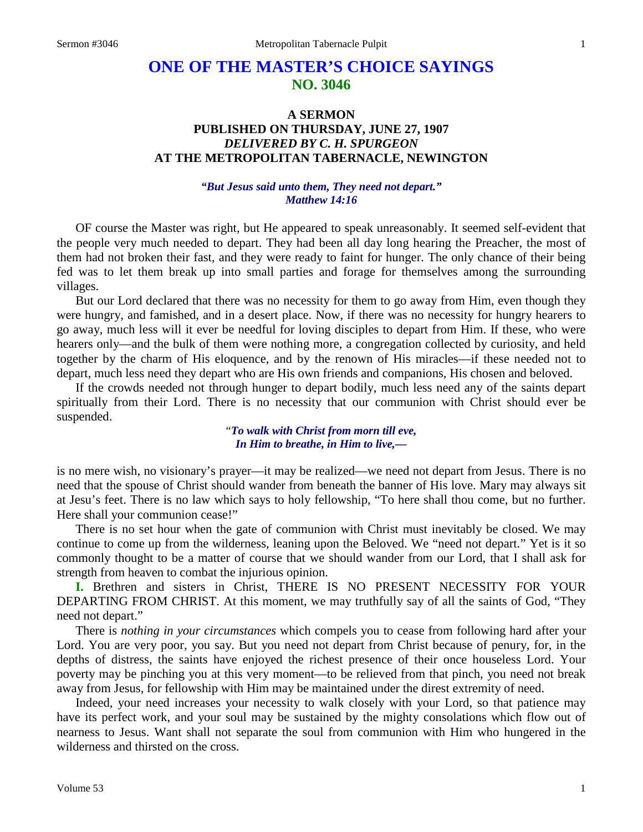# **ONE OF THE MASTER'S CHOICE SAYINGS NO. 3046**

# **A SERMON PUBLISHED ON THURSDAY, JUNE 27, 1907** *DELIVERED BY C. H. SPURGEON* **AT THE METROPOLITAN TABERNACLE, NEWINGTON**

## *"But Jesus said unto them, They need not depart." Matthew 14:16*

OF course the Master was right, but He appeared to speak unreasonably. It seemed self-evident that the people very much needed to depart. They had been all day long hearing the Preacher, the most of them had not broken their fast, and they were ready to faint for hunger. The only chance of their being fed was to let them break up into small parties and forage for themselves among the surrounding villages.

But our Lord declared that there was no necessity for them to go away from Him, even though they were hungry, and famished, and in a desert place. Now, if there was no necessity for hungry hearers to go away, much less will it ever be needful for loving disciples to depart from Him. If these, who were hearers only—and the bulk of them were nothing more, a congregation collected by curiosity, and held together by the charm of His eloquence, and by the renown of His miracles—if these needed not to depart, much less need they depart who are His own friends and companions, His chosen and beloved.

If the crowds needed not through hunger to depart bodily, much less need any of the saints depart spiritually from their Lord. There is no necessity that our communion with Christ should ever be suspended.

> "*To walk with Christ from morn till eve, In Him to breathe, in Him to live,—*

is no mere wish, no visionary's prayer—it may be realized—we need not depart from Jesus. There is no need that the spouse of Christ should wander from beneath the banner of His love. Mary may always sit at Jesu's feet. There is no law which says to holy fellowship, "To here shall thou come, but no further. Here shall your communion cease!"

There is no set hour when the gate of communion with Christ must inevitably be closed. We may continue to come up from the wilderness, leaning upon the Beloved. We "need not depart." Yet is it so commonly thought to be a matter of course that we should wander from our Lord, that I shall ask for strength from heaven to combat the injurious opinion.

**I.** Brethren and sisters in Christ, THERE IS NO PRESENT NECESSITY FOR YOUR DEPARTING FROM CHRIST. At this moment, we may truthfully say of all the saints of God, "They need not depart."

There is *nothing in your circumstances* which compels you to cease from following hard after your Lord. You are very poor, you say. But you need not depart from Christ because of penury, for, in the depths of distress, the saints have enjoyed the richest presence of their once houseless Lord. Your poverty may be pinching you at this very moment—to be relieved from that pinch, you need not break away from Jesus, for fellowship with Him may be maintained under the direst extremity of need.

Indeed, your need increases your necessity to walk closely with your Lord, so that patience may have its perfect work, and your soul may be sustained by the mighty consolations which flow out of nearness to Jesus. Want shall not separate the soul from communion with Him who hungered in the wilderness and thirsted on the cross.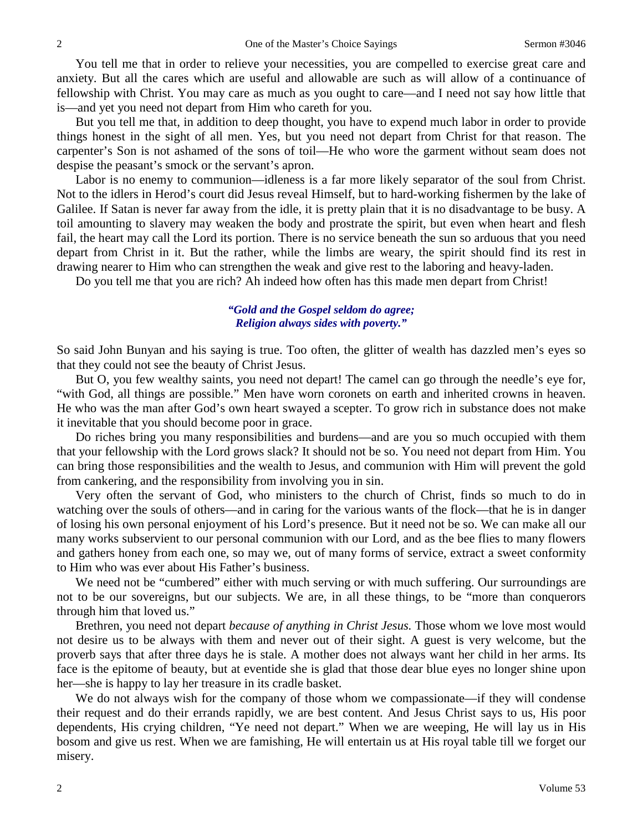You tell me that in order to relieve your necessities, you are compelled to exercise great care and anxiety. But all the cares which are useful and allowable are such as will allow of a continuance of fellowship with Christ. You may care as much as you ought to care—and I need not say how little that is—and yet you need not depart from Him who careth for you.

But you tell me that, in addition to deep thought, you have to expend much labor in order to provide things honest in the sight of all men. Yes, but you need not depart from Christ for that reason. The carpenter's Son is not ashamed of the sons of toil—He who wore the garment without seam does not despise the peasant's smock or the servant's apron.

Labor is no enemy to communion—idleness is a far more likely separator of the soul from Christ. Not to the idlers in Herod's court did Jesus reveal Himself, but to hard-working fishermen by the lake of Galilee. If Satan is never far away from the idle, it is pretty plain that it is no disadvantage to be busy. A toil amounting to slavery may weaken the body and prostrate the spirit, but even when heart and flesh fail, the heart may call the Lord its portion. There is no service beneath the sun so arduous that you need depart from Christ in it. But the rather, while the limbs are weary, the spirit should find its rest in drawing nearer to Him who can strengthen the weak and give rest to the laboring and heavy-laden.

Do you tell me that you are rich? Ah indeed how often has this made men depart from Christ!

#### *"Gold and the Gospel seldom do agree; Religion always sides with poverty."*

So said John Bunyan and his saying is true. Too often, the glitter of wealth has dazzled men's eyes so that they could not see the beauty of Christ Jesus.

But O, you few wealthy saints, you need not depart! The camel can go through the needle's eye for, "with God, all things are possible." Men have worn coronets on earth and inherited crowns in heaven. He who was the man after God's own heart swayed a scepter. To grow rich in substance does not make it inevitable that you should become poor in grace.

Do riches bring you many responsibilities and burdens—and are you so much occupied with them that your fellowship with the Lord grows slack? It should not be so. You need not depart from Him. You can bring those responsibilities and the wealth to Jesus, and communion with Him will prevent the gold from cankering, and the responsibility from involving you in sin.

Very often the servant of God, who ministers to the church of Christ, finds so much to do in watching over the souls of others—and in caring for the various wants of the flock—that he is in danger of losing his own personal enjoyment of his Lord's presence. But it need not be so. We can make all our many works subservient to our personal communion with our Lord, and as the bee flies to many flowers and gathers honey from each one, so may we, out of many forms of service, extract a sweet conformity to Him who was ever about His Father's business.

We need not be "cumbered" either with much serving or with much suffering. Our surroundings are not to be our sovereigns, but our subjects. We are, in all these things, to be "more than conquerors through him that loved us."

Brethren, you need not depart *because of anything in Christ Jesus.* Those whom we love most would not desire us to be always with them and never out of their sight. A guest is very welcome, but the proverb says that after three days he is stale. A mother does not always want her child in her arms. Its face is the epitome of beauty, but at eventide she is glad that those dear blue eyes no longer shine upon her—she is happy to lay her treasure in its cradle basket.

We do not always wish for the company of those whom we compassionate—if they will condense their request and do their errands rapidly, we are best content. And Jesus Christ says to us, His poor dependents, His crying children, "Ye need not depart." When we are weeping, He will lay us in His bosom and give us rest. When we are famishing, He will entertain us at His royal table till we forget our misery.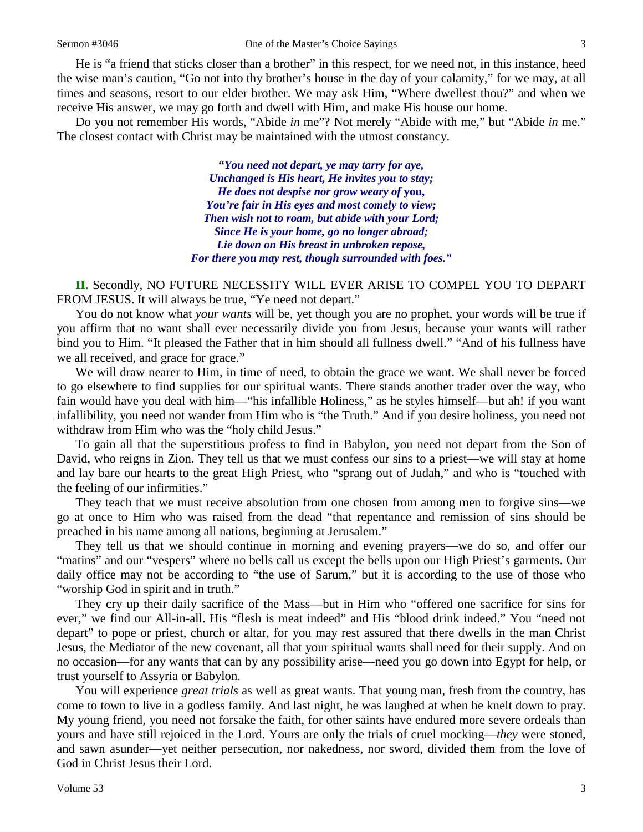He is "a friend that sticks closer than a brother" in this respect, for we need not, in this instance, heed the wise man's caution, "Go not into thy brother's house in the day of your calamity," for we may, at all times and seasons, resort to our elder brother. We may ask Him, "Where dwellest thou?" and when we receive His answer, we may go forth and dwell with Him, and make His house our home.

Do you not remember His words, "Abide *in* me"? Not merely "Abide with me," but "Abide *in* me." The closest contact with Christ may be maintained with the utmost constancy.

> **"***You need not depart, ye may tarry for aye, Unchanged is His heart, He invites you to stay; He does not despise nor grow weary of* **you,** *You're fair in His eyes and most comely to view; Then wish not to roam, but abide with your Lord; Since He is your home, go no longer abroad; Lie down on His breast in unbroken repose, For there you may rest, though surrounded with foes."*

**II.** Secondly, NO FUTURE NECESSITY WILL EVER ARISE TO COMPEL YOU TO DEPART FROM JESUS. It will always be true, "Ye need not depart."

You do not know what *your wants* will be, yet though you are no prophet, your words will be true if you affirm that no want shall ever necessarily divide you from Jesus, because your wants will rather bind you to Him. "It pleased the Father that in him should all fullness dwell." "And of his fullness have we all received, and grace for grace."

We will draw nearer to Him, in time of need, to obtain the grace we want. We shall never be forced to go elsewhere to find supplies for our spiritual wants. There stands another trader over the way, who fain would have you deal with him—"his infallible Holiness," as he styles himself—but ah! if you want infallibility, you need not wander from Him who is "the Truth." And if you desire holiness, you need not withdraw from Him who was the "holy child Jesus."

To gain all that the superstitious profess to find in Babylon, you need not depart from the Son of David, who reigns in Zion. They tell us that we must confess our sins to a priest—we will stay at home and lay bare our hearts to the great High Priest, who "sprang out of Judah," and who is "touched with the feeling of our infirmities."

They teach that we must receive absolution from one chosen from among men to forgive sins—we go at once to Him who was raised from the dead "that repentance and remission of sins should be preached in his name among all nations, beginning at Jerusalem."

They tell us that we should continue in morning and evening prayers—we do so, and offer our "matins" and our "vespers" where no bells call us except the bells upon our High Priest's garments. Our daily office may not be according to "the use of Sarum," but it is according to the use of those who "worship God in spirit and in truth."

They cry up their daily sacrifice of the Mass—but in Him who "offered one sacrifice for sins for ever," we find our All-in-all. His "flesh is meat indeed" and His "blood drink indeed." You "need not depart" to pope or priest, church or altar, for you may rest assured that there dwells in the man Christ Jesus, the Mediator of the new covenant, all that your spiritual wants shall need for their supply. And on no occasion—for any wants that can by any possibility arise—need you go down into Egypt for help, or trust yourself to Assyria or Babylon.

You will experience *great trials* as well as great wants. That young man, fresh from the country, has come to town to live in a godless family. And last night, he was laughed at when he knelt down to pray. My young friend, you need not forsake the faith, for other saints have endured more severe ordeals than yours and have still rejoiced in the Lord. Yours are only the trials of cruel mocking—*they* were stoned, and sawn asunder—yet neither persecution, nor nakedness, nor sword, divided them from the love of God in Christ Jesus their Lord.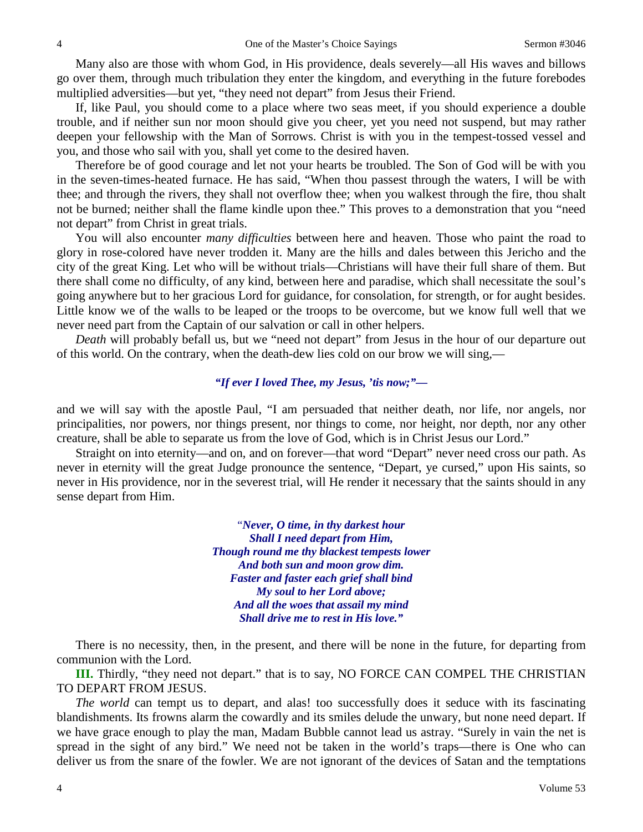Many also are those with whom God, in His providence, deals severely—all His waves and billows go over them, through much tribulation they enter the kingdom, and everything in the future forebodes multiplied adversities—but yet, "they need not depart" from Jesus their Friend.

If, like Paul, you should come to a place where two seas meet, if you should experience a double trouble, and if neither sun nor moon should give you cheer, yet you need not suspend, but may rather deepen your fellowship with the Man of Sorrows. Christ is with you in the tempest-tossed vessel and you, and those who sail with you, shall yet come to the desired haven.

Therefore be of good courage and let not your hearts be troubled. The Son of God will be with you in the seven-times-heated furnace. He has said, "When thou passest through the waters, I will be with thee; and through the rivers, they shall not overflow thee; when you walkest through the fire, thou shalt not be burned; neither shall the flame kindle upon thee." This proves to a demonstration that you "need not depart" from Christ in great trials.

You will also encounter *many difficulties* between here and heaven. Those who paint the road to glory in rose-colored have never trodden it. Many are the hills and dales between this Jericho and the city of the great King. Let who will be without trials—Christians will have their full share of them. But there shall come no difficulty, of any kind, between here and paradise, which shall necessitate the soul's going anywhere but to her gracious Lord for guidance, for consolation, for strength, or for aught besides. Little know we of the walls to be leaped or the troops to be overcome, but we know full well that we never need part from the Captain of our salvation or call in other helpers.

*Death* will probably befall us, but we "need not depart" from Jesus in the hour of our departure out of this world. On the contrary, when the death-dew lies cold on our brow we will sing,—

#### *"If ever I loved Thee, my Jesus, 'tis now;"—*

and we will say with the apostle Paul, "I am persuaded that neither death, nor life, nor angels, nor principalities, nor powers, nor things present, nor things to come, nor height, nor depth, nor any other creature, shall be able to separate us from the love of God, which is in Christ Jesus our Lord."

Straight on into eternity—and on, and on forever—that word "Depart" never need cross our path. As never in eternity will the great Judge pronounce the sentence, "Depart, ye cursed," upon His saints, so never in His providence, nor in the severest trial, will He render it necessary that the saints should in any sense depart from Him.

> "*Never, O time, in thy darkest hour Shall I need depart from Him, Though round me thy blackest tempests lower And both sun and moon grow dim. Faster and faster each grief shall bind My soul to her Lord above; And all the woes that assail my mind Shall drive me to rest in His love."*

There is no necessity, then, in the present, and there will be none in the future, for departing from communion with the Lord.

**III.** Thirdly, "they need not depart." that is to say, NO FORCE CAN COMPEL THE CHRISTIAN TO DEPART FROM JESUS.

*The world* can tempt us to depart, and alas! too successfully does it seduce with its fascinating blandishments. Its frowns alarm the cowardly and its smiles delude the unwary, but none need depart. If we have grace enough to play the man, Madam Bubble cannot lead us astray. "Surely in vain the net is spread in the sight of any bird." We need not be taken in the world's traps—there is One who can deliver us from the snare of the fowler. We are not ignorant of the devices of Satan and the temptations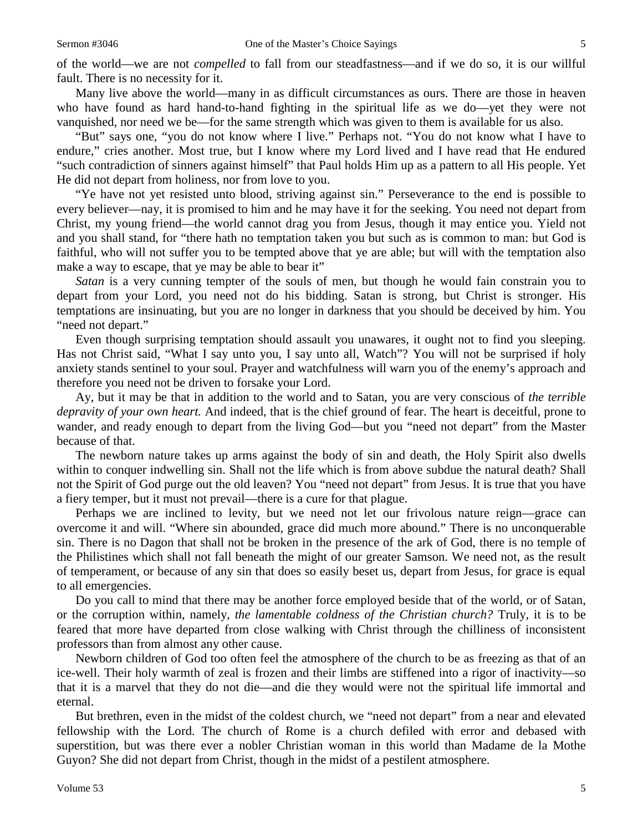of the world—we are not *compelled* to fall from our steadfastness—and if we do so, it is our willful fault. There is no necessity for it.

Many live above the world—many in as difficult circumstances as ours. There are those in heaven who have found as hard hand-to-hand fighting in the spiritual life as we do—yet they were not vanquished, nor need we be—for the same strength which was given to them is available for us also.

"But" says one, "you do not know where I live." Perhaps not. "You do not know what I have to endure," cries another. Most true, but I know where my Lord lived and I have read that He endured "such contradiction of sinners against himself" that Paul holds Him up as a pattern to all His people. Yet He did not depart from holiness, nor from love to you.

"Ye have not yet resisted unto blood, striving against sin." Perseverance to the end is possible to every believer—nay, it is promised to him and he may have it for the seeking. You need not depart from Christ, my young friend—the world cannot drag you from Jesus, though it may entice you. Yield not and you shall stand, for "there hath no temptation taken you but such as is common to man: but God is faithful, who will not suffer you to be tempted above that ye are able; but will with the temptation also make a way to escape, that ye may be able to bear it"

*Satan* is a very cunning tempter of the souls of men, but though he would fain constrain you to depart from your Lord, you need not do his bidding. Satan is strong, but Christ is stronger. His temptations are insinuating, but you are no longer in darkness that you should be deceived by him. You "need not depart."

Even though surprising temptation should assault you unawares, it ought not to find you sleeping. Has not Christ said, "What I say unto you, I say unto all, Watch"? You will not be surprised if holy anxiety stands sentinel to your soul. Prayer and watchfulness will warn you of the enemy's approach and therefore you need not be driven to forsake your Lord.

Ay, but it may be that in addition to the world and to Satan, you are very conscious of *the terrible depravity of your own heart.* And indeed, that is the chief ground of fear. The heart is deceitful, prone to wander, and ready enough to depart from the living God—but you "need not depart" from the Master because of that.

The newborn nature takes up arms against the body of sin and death, the Holy Spirit also dwells within to conquer indwelling sin. Shall not the life which is from above subdue the natural death? Shall not the Spirit of God purge out the old leaven? You "need not depart" from Jesus. It is true that you have a fiery temper, but it must not prevail—there is a cure for that plague.

Perhaps we are inclined to levity, but we need not let our frivolous nature reign—grace can overcome it and will. "Where sin abounded, grace did much more abound." There is no unconquerable sin. There is no Dagon that shall not be broken in the presence of the ark of God, there is no temple of the Philistines which shall not fall beneath the might of our greater Samson. We need not, as the result of temperament, or because of any sin that does so easily beset us, depart from Jesus, for grace is equal to all emergencies.

Do you call to mind that there may be another force employed beside that of the world, or of Satan, or the corruption within, namely, *the lamentable coldness of the Christian church?* Truly, it is to be feared that more have departed from close walking with Christ through the chilliness of inconsistent professors than from almost any other cause.

Newborn children of God too often feel the atmosphere of the church to be as freezing as that of an ice-well. Their holy warmth of zeal is frozen and their limbs are stiffened into a rigor of inactivity—so that it is a marvel that they do not die—and die they would were not the spiritual life immortal and eternal.

But brethren, even in the midst of the coldest church, we "need not depart" from a near and elevated fellowship with the Lord. The church of Rome is a church defiled with error and debased with superstition, but was there ever a nobler Christian woman in this world than Madame de la Mothe Guyon? She did not depart from Christ, though in the midst of a pestilent atmosphere.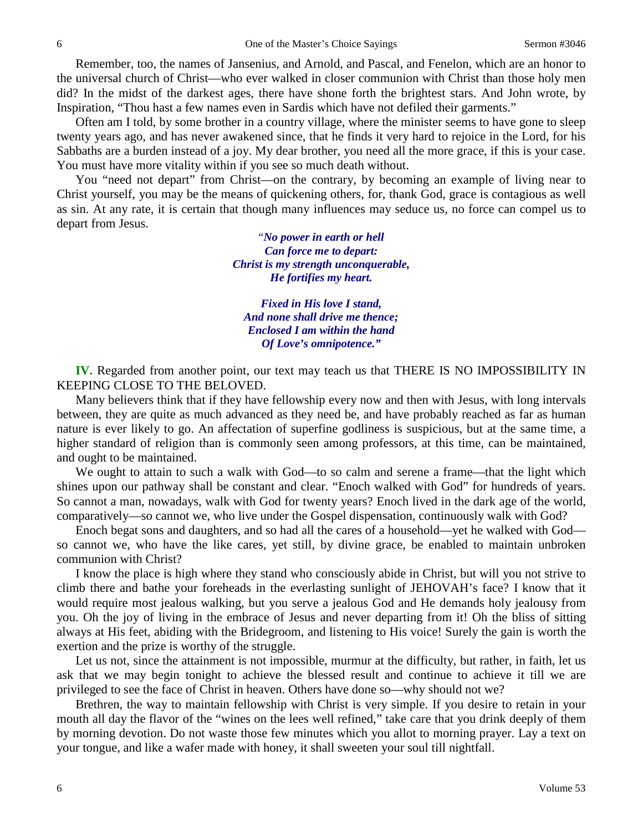Remember, too, the names of Jansenius, and Arnold, and Pascal, and Fenelon, which are an honor to the universal church of Christ—who ever walked in closer communion with Christ than those holy men did? In the midst of the darkest ages, there have shone forth the brightest stars. And John wrote, by Inspiration, "Thou hast a few names even in Sardis which have not defiled their garments."

Often am I told, by some brother in a country village, where the minister seems to have gone to sleep twenty years ago, and has never awakened since, that he finds it very hard to rejoice in the Lord, for his Sabbaths are a burden instead of a joy. My dear brother, you need all the more grace, if this is your case. You must have more vitality within if you see so much death without.

You "need not depart" from Christ—on the contrary, by becoming an example of living near to Christ yourself, you may be the means of quickening others, for, thank God, grace is contagious as well as sin. At any rate, it is certain that though many influences may seduce us, no force can compel us to depart from Jesus.

> "*No power in earth or hell Can force me to depart: Christ is my strength unconquerable, He fortifies my heart.*

*Fixed in His love I stand, And none shall drive me thence; Enclosed I am within the hand Of Love's omnipotence."*

**IV.** Regarded from another point, our text may teach us that THERE IS NO IMPOSSIBILITY IN KEEPING CLOSE TO THE BELOVED.

Many believers think that if they have fellowship every now and then with Jesus, with long intervals between, they are quite as much advanced as they need be, and have probably reached as far as human nature is ever likely to go. An affectation of superfine godliness is suspicious, but at the same time, a higher standard of religion than is commonly seen among professors, at this time, can be maintained*,*  and ought to be maintained.

We ought to attain to such a walk with God—to so calm and serene a frame—that the light which shines upon our pathway shall be constant and clear. "Enoch walked with God" for hundreds of years. So cannot a man, nowadays, walk with God for twenty years? Enoch lived in the dark age of the world, comparatively—so cannot we, who live under the Gospel dispensation, continuously walk with God?

Enoch begat sons and daughters, and so had all the cares of a household—yet he walked with God so cannot we, who have the like cares, yet still, by divine grace, be enabled to maintain unbroken communion with Christ?

I know the place is high where they stand who consciously abide in Christ, but will you not strive to climb there and bathe your foreheads in the everlasting sunlight of JEHOVAH's face? I know that it would require most jealous walking, but you serve a jealous God and He demands holy jealousy from you. Oh the joy of living in the embrace of Jesus and never departing from it! Oh the bliss of sitting always at His feet, abiding with the Bridegroom, and listening to His voice! Surely the gain is worth the exertion and the prize is worthy of the struggle.

Let us not, since the attainment is not impossible, murmur at the difficulty, but rather, in faith, let us ask that we may begin tonight to achieve the blessed result and continue to achieve it till we are privileged to see the face of Christ in heaven. Others have done so—why should not we?

Brethren, the way to maintain fellowship with Christ is very simple. If you desire to retain in your mouth all day the flavor of the "wines on the lees well refined," take care that you drink deeply of them by morning devotion. Do not waste those few minutes which you allot to morning prayer. Lay a text on your tongue, and like a wafer made with honey, it shall sweeten your soul till nightfall.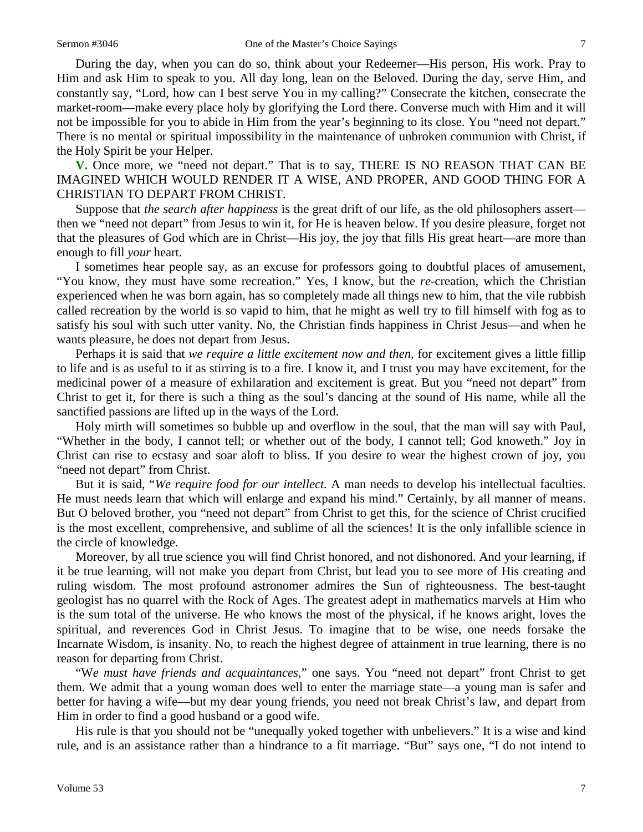During the day, when you can do so, think about your Redeemer—His person, His work. Pray to Him and ask Him to speak to you. All day long, lean on the Beloved. During the day, serve Him, and constantly say, "Lord, how can I best serve You in my calling?" Consecrate the kitchen, consecrate the market-room—make every place holy by glorifying the Lord there. Converse much with Him and it will not be impossible for you to abide in Him from the year's beginning to its close. You "need not depart." There is no mental or spiritual impossibility in the maintenance of unbroken communion with Christ, if the Holy Spirit be your Helper.

**V.** Once more, we "need not depart." That is to say, THERE IS NO REASON THAT CAN BE IMAGINED WHICH WOULD RENDER IT A WISE, AND PROPER, AND GOOD THING FOR A CHRISTIAN TO DEPART FROM CHRIST.

Suppose that *the search after happiness* is the great drift of our life, as the old philosophers assert then we "need not depart" from Jesus to win it, for He is heaven below. If you desire pleasure, forget not that the pleasures of God which are in Christ—His joy, the joy that fills His great heart—are more than enough to fill *your* heart.

I sometimes hear people say, as an excuse for professors going to doubtful places of amusement, "You know, they must have some recreation." Yes, I know, but the *re*-creation, which the Christian experienced when he was born again, has so completely made all things new to him, that the vile rubbish called recreation by the world is so vapid to him, that he might as well try to fill himself with fog as to satisfy his soul with such utter vanity. No, the Christian finds happiness in Christ Jesus—and when he wants pleasure, he does not depart from Jesus.

Perhaps it is said that *we require a little excitement now and then,* for excitement gives a little fillip to life and is as useful to it as stirring is to a fire. I know it, and I trust you may have excitement, for the medicinal power of a measure of exhilaration and excitement is great. But you "need not depart" from Christ to get it, for there is such a thing as the soul's dancing at the sound of His name, while all the sanctified passions are lifted up in the ways of the Lord.

Holy mirth will sometimes so bubble up and overflow in the soul, that the man will say with Paul, "Whether in the body, I cannot tell; or whether out of the body, I cannot tell; God knoweth." Joy in Christ can rise to ecstasy and soar aloft to bliss. If you desire to wear the highest crown of joy, you "need not depart" from Christ.

But it is said, "*We require food for our intellect.* A man needs to develop his intellectual faculties. He must needs learn that which will enlarge and expand his mind." Certainly, by all manner of means. But O beloved brother, you "need not depart" from Christ to get this, for the science of Christ crucified is the most excellent, comprehensive, and sublime of all the sciences! It is the only infallible science in the circle of knowledge.

Moreover, by all true science you will find Christ honored, and not dishonored. And your learning, if it be true learning, will not make you depart from Christ, but lead you to see more of His creating and ruling wisdom. The most profound astronomer admires the Sun of righteousness. The best-taught geologist has no quarrel with the Rock of Ages. The greatest adept in mathematics marvels at Him who is the sum total of the universe. He who knows the most of the physical, if he knows aright, loves the spiritual, and reverences God in Christ Jesus. To imagine that to be wise, one needs forsake the Incarnate Wisdom, is insanity. No, to reach the highest degree of attainment in true learning, there is no reason for departing from Christ.

"W*e must have friends and acquaintances*," one says. You "need not depart" front Christ to get them. We admit that a young woman does well to enter the marriage state—a young man is safer and better for having a wife—but my dear young friends, you need not break Christ's law, and depart from Him in order to find a good husband or a good wife.

His rule is that you should not be "unequally yoked together with unbelievers." It is a wise and kind rule, and is an assistance rather than a hindrance to a fit marriage. "But" says one, "I do not intend to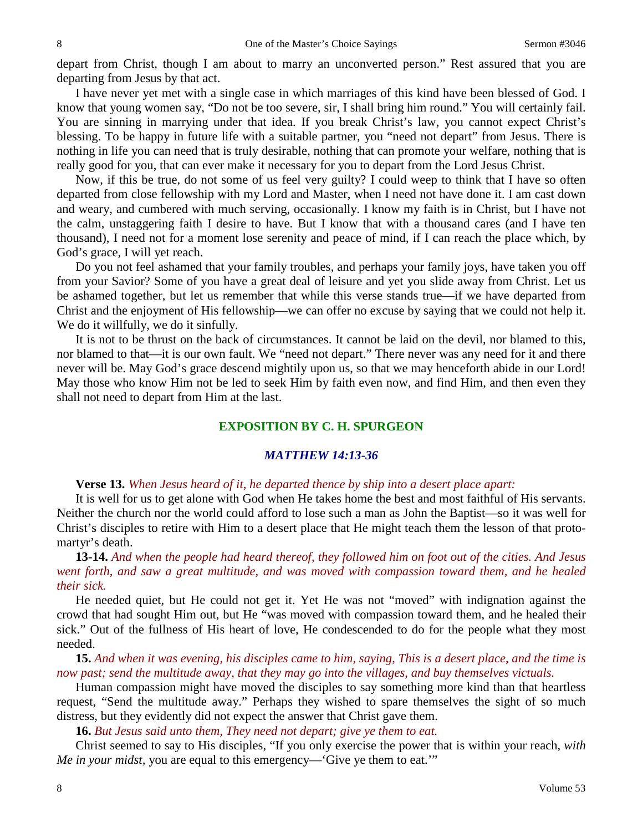depart from Christ, though I am about to marry an unconverted person." Rest assured that you are departing from Jesus by that act.

I have never yet met with a single case in which marriages of this kind have been blessed of God. I know that young women say, "Do not be too severe, sir, I shall bring him round." You will certainly fail. You are sinning in marrying under that idea. If you break Christ's law, you cannot expect Christ's blessing. To be happy in future life with a suitable partner, you "need not depart" from Jesus. There is nothing in life you can need that is truly desirable, nothing that can promote your welfare, nothing that is really good for you, that can ever make it necessary for you to depart from the Lord Jesus Christ.

Now, if this be true, do not some of us feel very guilty? I could weep to think that I have so often departed from close fellowship with my Lord and Master, when I need not have done it. I am cast down and weary, and cumbered with much serving, occasionally. I know my faith is in Christ, but I have not the calm, unstaggering faith I desire to have. But I know that with a thousand cares (and I have ten thousand), I need not for a moment lose serenity and peace of mind, if I can reach the place which, by God's grace, I will yet reach.

Do you not feel ashamed that your family troubles, and perhaps your family joys, have taken you off from your Savior? Some of you have a great deal of leisure and yet you slide away from Christ. Let us be ashamed together, but let us remember that while this verse stands true—if we have departed from Christ and the enjoyment of His fellowship—we can offer no excuse by saying that we could not help it. We do it willfully, we do it sinfully.

It is not to be thrust on the back of circumstances. It cannot be laid on the devil, nor blamed to this, nor blamed to that—it is our own fault. We "need not depart." There never was any need for it and there never will be. May God's grace descend mightily upon us, so that we may henceforth abide in our Lord! May those who know Him not be led to seek Him by faith even now, and find Him, and then even they shall not need to depart from Him at the last.

### **EXPOSITION BY C. H. SPURGEON**

# *MATTHEW 14:13-36*

**Verse 13.** *When Jesus heard of it, he departed thence by ship into a desert place apart:*

It is well for us to get alone with God when He takes home the best and most faithful of His servants. Neither the church nor the world could afford to lose such a man as John the Baptist—so it was well for Christ's disciples to retire with Him to a desert place that He might teach them the lesson of that protomartyr's death.

**13-14.** *And when the people had heard thereof, they followed him on foot out of the cities. And Jesus went forth, and saw a great multitude, and was moved with compassion toward them, and he healed their sick.*

He needed quiet, but He could not get it. Yet He was not "moved" with indignation against the crowd that had sought Him out, but He "was moved with compassion toward them, and he healed their sick." Out of the fullness of His heart of love, He condescended to do for the people what they most needed.

**15.** *And when it was evening, his disciples came to him, saying, This is a desert place, and the time is now past; send the multitude away, that they may go into the villages, and buy themselves victuals.*

Human compassion might have moved the disciples to say something more kind than that heartless request, "Send the multitude away." Perhaps they wished to spare themselves the sight of so much distress, but they evidently did not expect the answer that Christ gave them.

**16.** *But Jesus said unto them, They need not depart; give ye them to eat.*

Christ seemed to say to His disciples, "If you only exercise the power that is within your reach, *with Me in your midst,* you are equal to this emergency—'Give ye them to eat.'"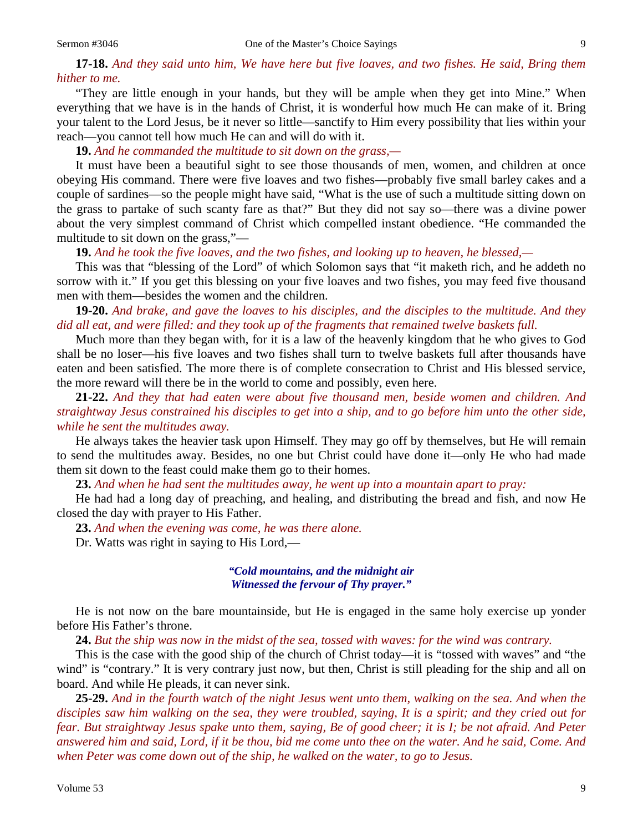**17-18.** *And they said unto him, We have here but five loaves, and two fishes. He said, Bring them hither to me.*

"They are little enough in your hands, but they will be ample when they get into Mine." When everything that we have is in the hands of Christ, it is wonderful how much He can make of it. Bring your talent to the Lord Jesus, be it never so little—sanctify to Him every possibility that lies within your reach—you cannot tell how much He can and will do with it.

**19.** *And he commanded the multitude to sit down on the grass,—*

It must have been a beautiful sight to see those thousands of men, women, and children at once obeying His command. There were five loaves and two fishes—probably five small barley cakes and a couple of sardines—so the people might have said, "What is the use of such a multitude sitting down on the grass to partake of such scanty fare as that?" But they did not say so—there was a divine power about the very simplest command of Christ which compelled instant obedience. "He commanded the multitude to sit down on the grass,"—

**19.** *And he took the five loaves, and the two fishes, and looking up to heaven, he blessed,—*

This was that "blessing of the Lord" of which Solomon says that "it maketh rich, and he addeth no sorrow with it." If you get this blessing on your five loaves and two fishes, you may feed five thousand men with them—besides the women and the children.

**19-20.** *And brake, and gave the loaves to his disciples, and the disciples to the multitude. And they did all eat, and were filled: and they took up of the fragments that remained twelve baskets full.*

Much more than they began with, for it is a law of the heavenly kingdom that he who gives to God shall be no loser—his five loaves and two fishes shall turn to twelve baskets full after thousands have eaten and been satisfied. The more there is of complete consecration to Christ and His blessed service, the more reward will there be in the world to come and possibly, even here.

**21-22.** *And they that had eaten were about five thousand men, beside women and children. And straightway Jesus constrained his disciples to get into a ship, and to go before him unto the other side, while he sent the multitudes away.*

He always takes the heavier task upon Himself. They may go off by themselves, but He will remain to send the multitudes away. Besides, no one but Christ could have done it—only He who had made them sit down to the feast could make them go to their homes.

**23.** *And when he had sent the multitudes away, he went up into a mountain apart to pray:*

He had had a long day of preaching, and healing, and distributing the bread and fish, and now He closed the day with prayer to His Father.

**23.** *And when the evening was come, he was there alone.*

Dr. Watts was right in saying to His Lord,—

#### *"Cold mountains, and the midnight air Witnessed the fervour of Thy prayer."*

He is not now on the bare mountainside, but He is engaged in the same holy exercise up yonder before His Father's throne.

**24.** *But the ship was now in the midst of the sea, tossed with waves: for the wind was contrary.*

This is the case with the good ship of the church of Christ today—it is "tossed with waves" and "the wind" is "contrary." It is very contrary just now, but then, Christ is still pleading for the ship and all on board. And while He pleads, it can never sink.

**25-29.** *And in the fourth watch of the night Jesus went unto them, walking on the sea. And when the disciples saw him walking on the sea, they were troubled, saying, It is a spirit; and they cried out for fear. But straightway Jesus spake unto them, saying, Be of good cheer; it is I; be not afraid. And Peter answered him and said, Lord, if it be thou, bid me come unto thee on the water. And he said, Come. And when Peter was come down out of the ship, he walked on the water, to go to Jesus.*